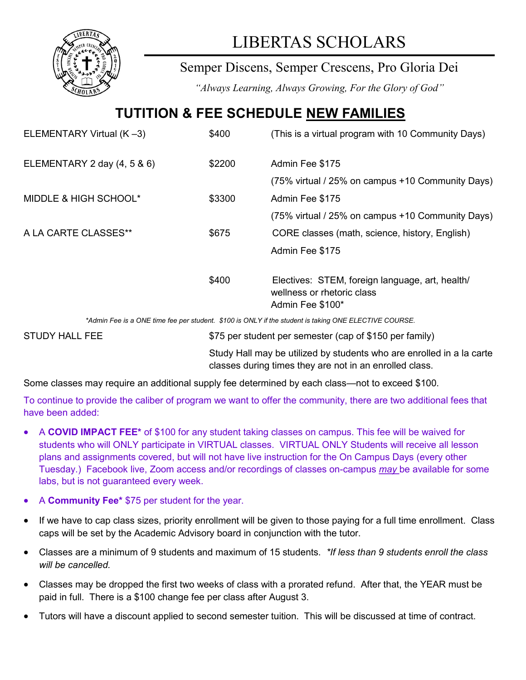

# LIBERTAS SCHOLARS

### Semper Discens, Semper Crescens, Pro Gloria Dei

*"Always Learning, Always Growing, For the Glory of God"*

### **TUTITION & FEE SCHEDULE NEW FAMILIES**

| ELEMENTARY Virtual $(K-3)$                                                                            | \$400  | (This is a virtual program with 10 Community Days)                                                |  |  |
|-------------------------------------------------------------------------------------------------------|--------|---------------------------------------------------------------------------------------------------|--|--|
| ELEMENTARY 2 day $(4, 5, 8, 6)$                                                                       | \$2200 | Admin Fee \$175                                                                                   |  |  |
|                                                                                                       |        | (75% virtual / 25% on campus +10 Community Days)                                                  |  |  |
| MIDDLE & HIGH SCHOOL*                                                                                 | \$3300 | Admin Fee \$175                                                                                   |  |  |
|                                                                                                       |        | (75% virtual / 25% on campus +10 Community Days)                                                  |  |  |
| A LA CARTE CLASSES**                                                                                  | \$675  | CORE classes (math, science, history, English)                                                    |  |  |
|                                                                                                       |        | Admin Fee \$175                                                                                   |  |  |
|                                                                                                       | \$400  | Electives: STEM, foreign language, art, health/<br>wellness or rhetoric class<br>Admin Fee \$100* |  |  |
| *Admin Fee is a ONE time fee per student. \$100 is ONLY if the student is taking ONE ELECTIVE COURSE. |        |                                                                                                   |  |  |
| STUDY HALL FEE                                                                                        |        | \$75 per student per semester (cap of \$150 per family)                                           |  |  |

Study Hall may be utilized by students who are enrolled in a la carte classes during times they are not in an enrolled class.

Some classes may require an additional supply fee determined by each class—not to exceed \$100.

To continue to provide the caliber of program we want to offer the community, there are two additional fees that have been added:

- A **COVID IMPACT FEE\*** of \$100 for any student taking classes on campus. This fee will be waived for students who will ONLY participate in VIRTUAL classes. VIRTUAL ONLY Students will receive all lesson plans and assignments covered, but will not have live instruction for the On Campus Days (every other Tuesday.) Facebook live, Zoom access and/or recordings of classes on-campus *may* be available for some labs, but is not guaranteed every week.
- A **Community Fee\*** \$75 per student for the year.
- If we have to cap class sizes, priority enrollment will be given to those paying for a full time enrollment. Class caps will be set by the Academic Advisory board in conjunction with the tutor.
- Classes are a minimum of 9 students and maximum of 15 students. *\*If less than 9 students enroll the class will be cancelled.*
- Classes may be dropped the first two weeks of class with a prorated refund. After that, the YEAR must be paid in full. There is a \$100 change fee per class after August 3.
- Tutors will have a discount applied to second semester tuition. This will be discussed at time of contract.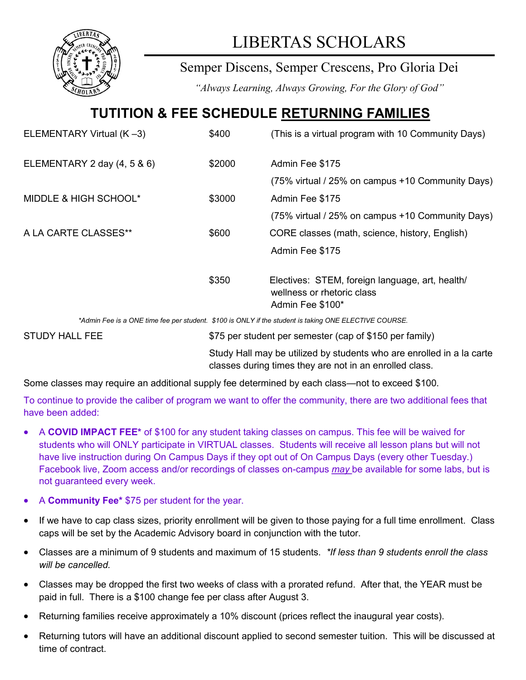

# LIBERTAS SCHOLARS

### Semper Discens, Semper Crescens, Pro Gloria Dei

*"Always Learning, Always Growing, For the Glory of God"*

## **TUTITION & FEE SCHEDULE RETURNING FAMILIES**

| ELEMENTARY Virtual $(K -3)$     | \$400  | (This is a virtual program with 10 Community Days)                                                    |
|---------------------------------|--------|-------------------------------------------------------------------------------------------------------|
| ELEMENTARY 2 day $(4, 5, 8, 6)$ | \$2000 | Admin Fee \$175                                                                                       |
|                                 |        | (75% virtual / 25% on campus +10 Community Days)                                                      |
| MIDDLE & HIGH SCHOOL*           | \$3000 | Admin Fee \$175                                                                                       |
|                                 |        | (75% virtual / 25% on campus +10 Community Days)                                                      |
| A LA CARTE CLASSES**            | \$600  | CORE classes (math, science, history, English)                                                        |
|                                 |        | Admin Fee \$175                                                                                       |
|                                 | \$350  | Electives: STEM, foreign language, art, health/<br>wellness or rhetoric class<br>Admin Fee \$100*     |
|                                 |        | *Admin Fee is a ONE time fee per student. \$100 is ONLY if the student is taking ONE ELECTIVE COURSE. |
| <b>STUDY HALL FEE</b>           |        | \$75 per student per semester (cap of \$150 per family)                                               |

Study Hall may be utilized by students who are enrolled in a la carte classes during times they are not in an enrolled class.

Some classes may require an additional supply fee determined by each class—not to exceed \$100.

To continue to provide the caliber of program we want to offer the community, there are two additional fees that have been added:

- A **COVID IMPACT FEE\*** of \$100 for any student taking classes on campus. This fee will be waived for students who will ONLY participate in VIRTUAL classes. Students will receive all lesson plans but will not have live instruction during On Campus Days if they opt out of On Campus Days (every other Tuesday.) Facebook live, Zoom access and/or recordings of classes on-campus *may* be available for some labs, but is not guaranteed every week.
- A **Community Fee\*** \$75 per student for the year.
- If we have to cap class sizes, priority enrollment will be given to those paying for a full time enrollment. Class caps will be set by the Academic Advisory board in conjunction with the tutor.
- Classes are a minimum of 9 students and maximum of 15 students. *\*If less than 9 students enroll the class will be cancelled.*
- Classes may be dropped the first two weeks of class with a prorated refund. After that, the YEAR must be paid in full. There is a \$100 change fee per class after August 3.
- Returning families receive approximately a 10% discount (prices reflect the inaugural year costs).
- Returning tutors will have an additional discount applied to second semester tuition. This will be discussed at time of contract.